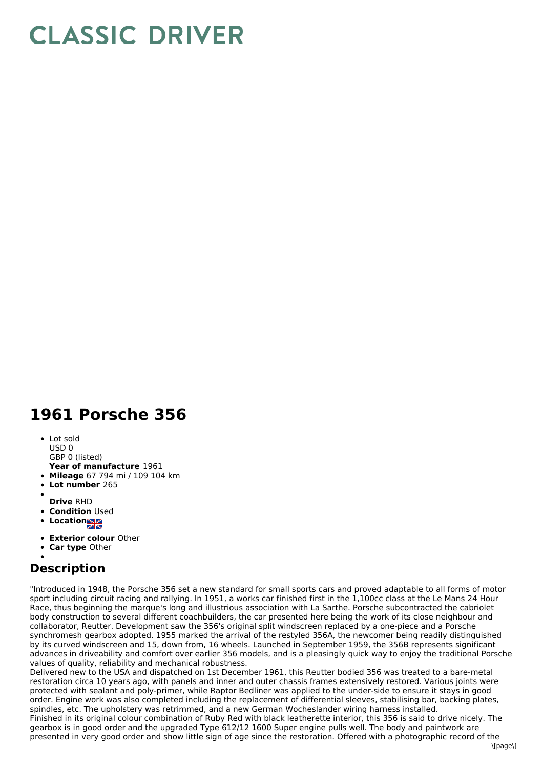## **CLASSIC DRIVER**

## **1961 Porsche 356**

- Lot sold
- USD 0
- **Year of manufacture** 1961 GBP 0 (listed)
- **Mileage** 67 794 mi / 109 104 km
- **Lot number** 265
- 
- **Drive** RHD
- **Condition Used**
- **Location**
- **Exterior colour** Other
- **Car type** Other

## **Description**

"Introduced in 1948, the Porsche 356 set a new standard for small sports cars and proved adaptable to all forms of motor sport including circuit racing and rallying. In 1951, a works car finished first in the 1,100cc class at the Le Mans 24 Hour Race, thus beginning the marque's long and illustrious association with La Sarthe. Porsche subcontracted the cabriolet body construction to several different coachbuilders, the car presented here being the work of its close neighbour and collaborator, Reutter. Development saw the 356's original split windscreen replaced by a one-piece and a Porsche synchromesh gearbox adopted. 1955 marked the arrival of the restyled 356A, the newcomer being readily distinguished by its curved windscreen and 15, down from, 16 wheels. Launched in September 1959, the 356B represents significant advances in driveability and comfort over earlier 356 models, and is a pleasingly quick way to enjoy the traditional Porsche values of quality, reliability and mechanical robustness.

Delivered new to the USA and dispatched on 1st December 1961, this Reutter bodied 356 was treated to a bare-metal restoration circa 10 years ago, with panels and inner and outer chassis frames extensively restored. Various joints were protected with sealant and poly-primer, while Raptor Bedliner was applied to the under-side to ensure it stays in good order. Engine work was also completed including the replacement of differential sleeves, stabilising bar, backing plates, spindles, etc. The upholstery was retrimmed, and a new German Wocheslander wiring harness installed. Finished in its original colour combination of Ruby Red with black leatherette interior, this 356 is said to drive nicely. The gearbox is in good order and the upgraded Type 612/12 1600 Super engine pulls well. The body and paintwork are presented in very good order and show little sign of age since the restoration. Offered with a photographic record of the